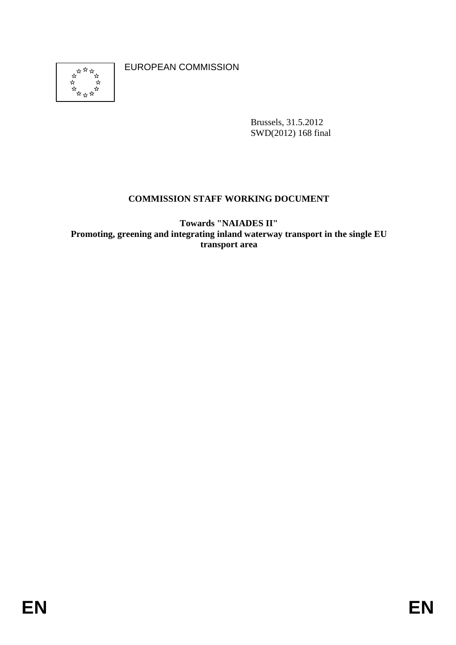

EUROPEAN COMMISSION

Brussels, 31.5.2012 SWD(2012) 168 final

# **COMMISSION STAFF WORKING DOCUMENT**

**Towards "NAIADES II" Promoting, greening and integrating inland waterway transport in the single EU transport area**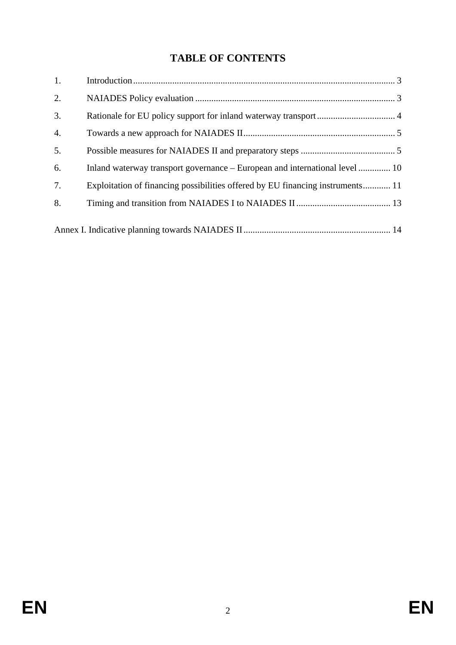# **TABLE OF CONTENTS**

| 1.               |                                                                                |  |
|------------------|--------------------------------------------------------------------------------|--|
| 2.               |                                                                                |  |
| 3.               |                                                                                |  |
| $\overline{4}$ . |                                                                                |  |
| 5.               |                                                                                |  |
| 6.               | Inland waterway transport governance – European and international level  10    |  |
| 7.               | Exploitation of financing possibilities offered by EU financing instruments 11 |  |
| 8.               |                                                                                |  |
|                  |                                                                                |  |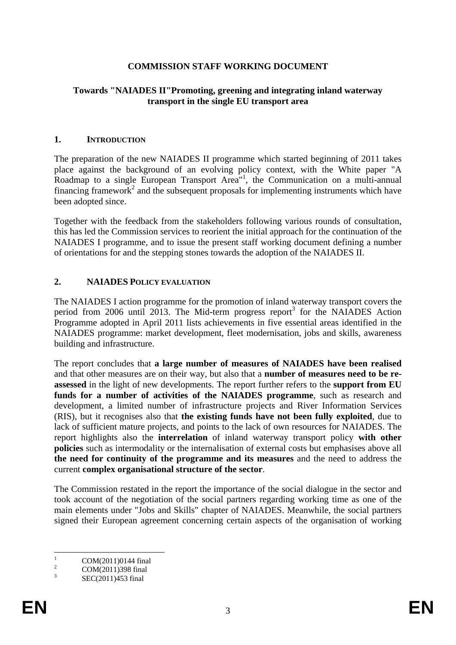# **COMMISSION STAFF WORKING DOCUMENT**

#### **Towards "NAIADES II"Promoting, greening and integrating inland waterway transport in the single EU transport area**

#### <span id="page-2-0"></span>**1. INTRODUCTION**

The preparation of the new NAIADES II programme which started beginning of 2011 takes place against the background of an evolving policy context, with the White paper "A Roadmap to a single European Transport Area<sup>n1</sup>, the Communication on a multi-annual financing framework<sup>2</sup> and the subsequent proposals for implementing instruments which have been adopted since.

Together with the feedback from the stakeholders following various rounds of consultation, this has led the Commission services to reorient the initial approach for the continuation of the NAIADES I programme, and to issue the present staff working document defining a number of orientations for and the stepping stones towards the adoption of the NAIADES II.

#### <span id="page-2-1"></span>**2. NAIADES POLICY EVALUATION**

The NAIADES I action programme for the promotion of inland waterway transport covers the period from 2006 until 2013. The Mid-term progress report<sup>3</sup> for the NAIADES Action Programme adopted in April 2011 lists achievements in five essential areas identified in the NAIADES programme: market development, fleet modernisation, jobs and skills, awareness building and infrastructure.

The report concludes that **a large number of measures of NAIADES have been realised** and that other measures are on their way, but also that a **number of measures need to be reassessed** in the light of new developments. The report further refers to the **support from EU funds for a number of activities of the NAIADES programme**, such as research and development, a limited number of infrastructure projects and River Information Services (RIS), but it recognises also that **the existing funds have not been fully exploited**, due to lack of sufficient mature projects, and points to the lack of own resources for NAIADES. The report highlights also the **interrelation** of inland waterway transport policy **with other policies** such as intermodality or the internalisation of external costs but emphasises above all **the need for continuity of the programme and its measures** and the need to address the current **complex organisational structure of the sector**.

The Commission restated in the report the importance of the social dialogue in the sector and took account of the negotiation of the social partners regarding working time as one of the main elements under "Jobs and Skills" chapter of NAIADES. Meanwhile, the social partners signed their European agreement concerning certain aspects of the organisation of working

 $\frac{1}{1}$ COM(2011)0144 final

 $\overline{2}$ COM(2011)398 final

<sup>3</sup> SEC(2011)453 final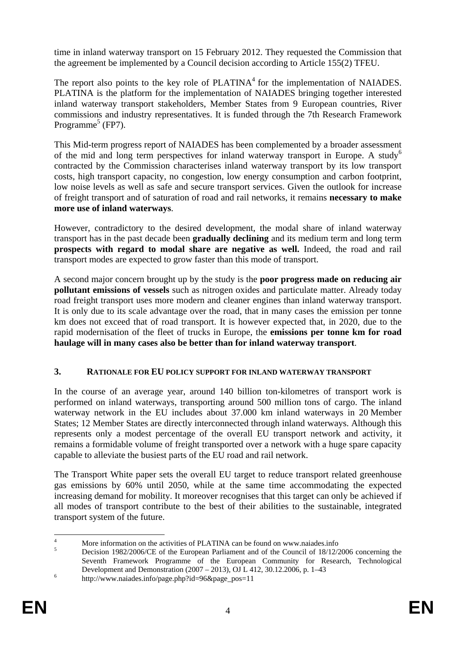time in inland waterway transport on 15 February 2012. They requested the Commission that the agreement be implemented by a Council decision according to Article 155(2) TFEU.

The report also points to the key role of  $PLATINA<sup>4</sup>$  for the implementation of NAIADES. PLATINA is the platform for the implementation of NAIADES bringing together interested inland waterway transport stakeholders, Member States from 9 European countries, River commissions and industry representatives. It is funded through the 7th Research Framework Programme<sup>5</sup> (FP7).

This Mid-term progress report of NAIADES has been complemented by a broader assessment of the mid and long term perspectives for inland waterway transport in Europe. A study<sup>6</sup> contracted by the Commission characterises inland waterway transport by its low transport costs, high transport capacity, no congestion, low energy consumption and carbon footprint, low noise levels as well as safe and secure transport services. Given the outlook for increase of freight transport and of saturation of road and rail networks, it remains **necessary to make more use of inland waterways**.

However, contradictory to the desired development, the modal share of inland waterway transport has in the past decade been **gradually declining** and its medium term and long term **prospects with regard to modal share are negative as well.** Indeed, the road and rail transport modes are expected to grow faster than this mode of transport.

A second major concern brought up by the study is the **poor progress made on reducing air pollutant emissions of vessels** such as nitrogen oxides and particulate matter. Already today road freight transport uses more modern and cleaner engines than inland waterway transport. It is only due to its scale advantage over the road, that in many cases the emission per tonne km does not exceed that of road transport. It is however expected that, in 2020, due to the rapid modernisation of the fleet of trucks in Europe, the **emissions per tonne km for road haulage will in many cases also be better than for inland waterway transport**.

# <span id="page-3-0"></span>**3. RATIONALE FOR EU POLICY SUPPORT FOR INLAND WATERWAY TRANSPORT**

In the course of an average year, around 140 billion ton-kilometres of transport work is performed on inland waterways, transporting around 500 million tons of cargo. The inland waterway network in the EU includes about 37.000 km inland waterways in 20 Member States; 12 Member States are directly interconnected through inland waterways. Although this represents only a modest percentage of the overall EU transport network and activity, it remains a formidable volume of freight transported over a network with a huge spare capacity capable to alleviate the busiest parts of the EU road and rail network.

The Transport White paper sets the overall EU target to reduce transport related greenhouse gas emissions by 60% until 2050, while at the same time accommodating the expected increasing demand for mobility. It moreover recognises that this target can only be achieved if all modes of transport contribute to the best of their abilities to the sustainable, integrated transport system of the future.

 $\frac{1}{4}$ More information on the activities of PLATINA can be found on www.naiades.info

<sup>5</sup> Decision 1982/2006/CE of the European Parliament and of the Council of 18/12/2006 concerning the Seventh Framework Programme of the European Community for Research, Technological Development and Demonstration (2007 – 2013), OJ L 412, 30.12.2006, p. 1–43

http://www.naiades.info/page.php?id=96&page\_pos=11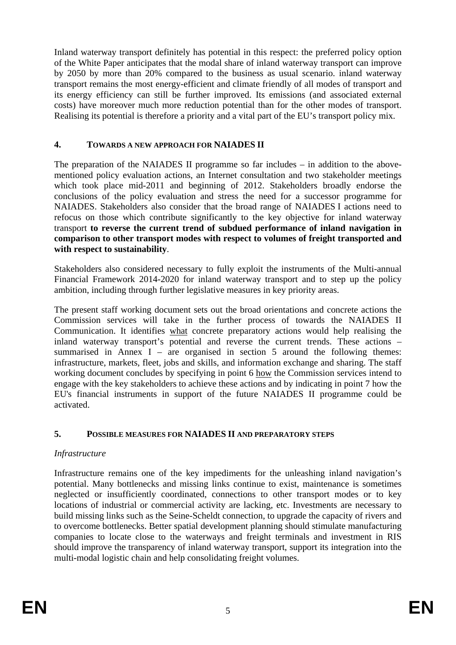Inland waterway transport definitely has potential in this respect: the preferred policy option of the White Paper anticipates that the modal share of inland waterway transport can improve by 2050 by more than 20% compared to the business as usual scenario. inland waterway transport remains the most energy-efficient and climate friendly of all modes of transport and its energy efficiency can still be further improved. Its emissions (and associated external costs) have moreover much more reduction potential than for the other modes of transport. Realising its potential is therefore a priority and a vital part of the EU's transport policy mix.

# <span id="page-4-0"></span>**4. TOWARDS A NEW APPROACH FOR NAIADES II**

The preparation of the NAIADES II programme so far includes – in addition to the abovementioned policy evaluation actions, an Internet consultation and two stakeholder meetings which took place mid-2011 and beginning of 2012. Stakeholders broadly endorse the conclusions of the policy evaluation and stress the need for a successor programme for NAIADES. Stakeholders also consider that the broad range of NAIADES I actions need to refocus on those which contribute significantly to the key objective for inland waterway transport **to reverse the current trend of subdued performance of inland navigation in comparison to other transport modes with respect to volumes of freight transported and with respect to sustainability**.

Stakeholders also considered necessary to fully exploit the instruments of the Multi-annual Financial Framework 2014-2020 for inland waterway transport and to step up the policy ambition, including through further legislative measures in key priority areas.

The present staff working document sets out the broad orientations and concrete actions the Commission services will take in the further process of towards the NAIADES II Communication. It identifies what concrete preparatory actions would help realising the inland waterway transport's potential and reverse the current trends. These actions – summarised in Annex I – are organised in section 5 around the following themes: infrastructure, markets, fleet, jobs and skills, and information exchange and sharing. The staff working document concludes by specifying in point 6 how the Commission services intend to engage with the key stakeholders to achieve these actions and by indicating in point 7 how the EU's financial instruments in support of the future NAIADES II programme could be activated.

# <span id="page-4-1"></span>**5. POSSIBLE MEASURES FOR NAIADES II AND PREPARATORY STEPS**

# *Infrastructure*

Infrastructure remains one of the key impediments for the unleashing inland navigation's potential. Many bottlenecks and missing links continue to exist, maintenance is sometimes neglected or insufficiently coordinated, connections to other transport modes or to key locations of industrial or commercial activity are lacking, etc. Investments are necessary to build missing links such as the Seine-Scheldt connection, to upgrade the capacity of rivers and to overcome bottlenecks. Better spatial development planning should stimulate manufacturing companies to locate close to the waterways and freight terminals and investment in RIS should improve the transparency of inland waterway transport, support its integration into the multi-modal logistic chain and help consolidating freight volumes.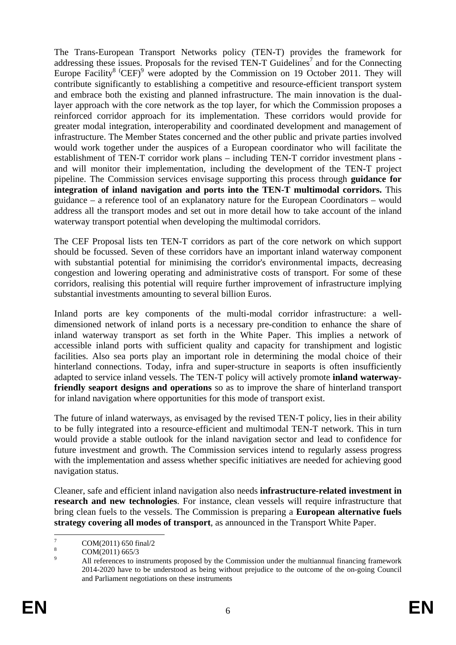The Trans-European Transport Networks policy (TEN-T) provides the framework for addressing these issues. Proposals for the revised TEN-T Guidelines<sup>7</sup> and for the Connecting Europe Facility<sup>8</sup>  $(CEF)$ <sup>9</sup> were adopted by the Commission on 19 October 2011. They will contribute significantly to establishing a competitive and resource-efficient transport system and embrace both the existing and planned infrastructure. The main innovation is the duallayer approach with the core network as the top layer, for which the Commission proposes a reinforced corridor approach for its implementation. These corridors would provide for greater modal integration, interoperability and coordinated development and management of infrastructure. The Member States concerned and the other public and private parties involved would work together under the auspices of a European coordinator who will facilitate the establishment of TEN-T corridor work plans – including TEN-T corridor investment plans and will monitor their implementation, including the development of the TEN-T project pipeline. The Commission services envisage supporting this process through **guidance for integration of inland navigation and ports into the TEN-T multimodal corridors.** This guidance – a reference tool of an explanatory nature for the European Coordinators – would address all the transport modes and set out in more detail how to take account of the inland waterway transport potential when developing the multimodal corridors.

The CEF Proposal lists ten TEN-T corridors as part of the core network on which support should be focussed. Seven of these corridors have an important inland waterway component with substantial potential for minimising the corridor's environmental impacts, decreasing congestion and lowering operating and administrative costs of transport. For some of these corridors, realising this potential will require further improvement of infrastructure implying substantial investments amounting to several billion Euros.

Inland ports are key components of the multi-modal corridor infrastructure: a welldimensioned network of inland ports is a necessary pre-condition to enhance the share of inland waterway transport as set forth in the White Paper. This implies a network of accessible inland ports with sufficient quality and capacity for transhipment and logistic facilities. Also sea ports play an important role in determining the modal choice of their hinterland connections. Today, infra and super-structure in seaports is often insufficiently adapted to service inland vessels. The TEN-T policy will actively promote **inland waterwayfriendly seaport designs and operations** so as to improve the share of hinterland transport for inland navigation where opportunities for this mode of transport exist.

The future of inland waterways, as envisaged by the revised TEN-T policy, lies in their ability to be fully integrated into a resource-efficient and multimodal TEN-T network. This in turn would provide a stable outlook for the inland navigation sector and lead to confidence for future investment and growth. The Commission services intend to regularly assess progress with the implementation and assess whether specific initiatives are needed for achieving good navigation status.

Cleaner, safe and efficient inland navigation also needs **infrastructure-related investment in research and new technologies**. For instance, clean vessels will require infrastructure that bring clean fuels to the vessels. The Commission is preparing a **European alternative fuels strategy covering all modes of transport**, as announced in the Transport White Paper.

<sup>—&</sup>lt;br>7 COM(2011) 650 final/2

<sup>8</sup> COM(2011) 665/3  $\overline{9}$ 

All references to instruments proposed by the Commission under the multiannual financing framework 2014-2020 have to be understood as being without prejudice to the outcome of the on-going Council and Parliament negotiations on these instruments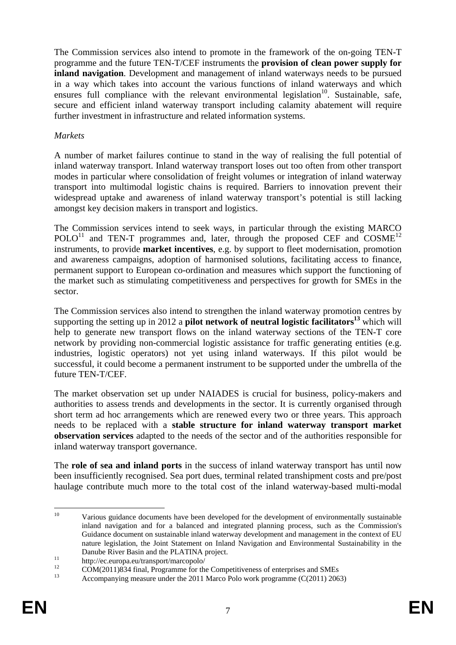The Commission services also intend to promote in the framework of the on-going TEN-T programme and the future TEN-T/CEF instruments the **provision of clean power supply for inland navigation**. Development and management of inland waterways needs to be pursued in a way which takes into account the various functions of inland waterways and which ensures full compliance with the relevant environmental legislation<sup>10</sup>. Sustainable, safe, secure and efficient inland waterway transport including calamity abatement will require further investment in infrastructure and related information systems.

#### *Markets*

A number of market failures continue to stand in the way of realising the full potential of inland waterway transport. Inland waterway transport loses out too often from other transport modes in particular where consolidation of freight volumes or integration of inland waterway transport into multimodal logistic chains is required. Barriers to innovation prevent their widespread uptake and awareness of inland waterway transport's potential is still lacking amongst key decision makers in transport and logistics.

The Commission services intend to seek ways, in particular through the existing MARCO POLO<sup>11</sup> and TEN-T programmes and, later, through the proposed CEF and  $COSME<sup>12</sup>$ instruments, to provide **market incentives**, e.g. by support to fleet modernisation, promotion and awareness campaigns, adoption of harmonised solutions, facilitating access to finance, permanent support to European co-ordination and measures which support the functioning of the market such as stimulating competitiveness and perspectives for growth for SMEs in the sector.

The Commission services also intend to strengthen the inland waterway promotion centres by supporting the setting up in 2012 a **pilot network of neutral logistic facilitators**<sup>13</sup> which will help to generate new transport flows on the inland waterway sections of the TEN-T core network by providing non-commercial logistic assistance for traffic generating entities (e.g. industries, logistic operators) not yet using inland waterways. If this pilot would be successful, it could become a permanent instrument to be supported under the umbrella of the future TEN-T/CEF

The market observation set up under NAIADES is crucial for business, policy-makers and authorities to assess trends and developments in the sector. It is currently organised through short term ad hoc arrangements which are renewed every two or three years. This approach needs to be replaced with a **stable structure for inland waterway transport market observation services** adapted to the needs of the sector and of the authorities responsible for inland waterway transport governance.

The **role of sea and inland ports** in the success of inland waterway transport has until now been insufficiently recognised. Sea port dues, terminal related transhipment costs and pre/post haulage contribute much more to the total cost of the inland waterway-based multi-modal

 $10<sup>10</sup>$ Various guidance documents have been developed for the development of environmentally sustainable inland navigation and for a balanced and integrated planning process, such as the Commission's Guidance document on sustainable inland waterway development and management in the context of EU nature legislation, the Joint Statement on Inland Navigation and Environmental Sustainability in the

Danube River Basin and the PLATINA project.<br>
11 http://ec.europa.eu/transport/marcopolo/<br>
12 and 12 and 12 and 12 and 12 and 12 and 12 and 12 and 12 and 12 and 12 and 12 and 12 and 12 and 12 and 12 and 12 and 12 and 12 and

<sup>&</sup>lt;sup>12</sup> COM(2011)834 final, Programme for the Competitiveness of enterprises and SMEs

Accompanying measure under the 2011 Marco Polo work programme (C(2011) 2063)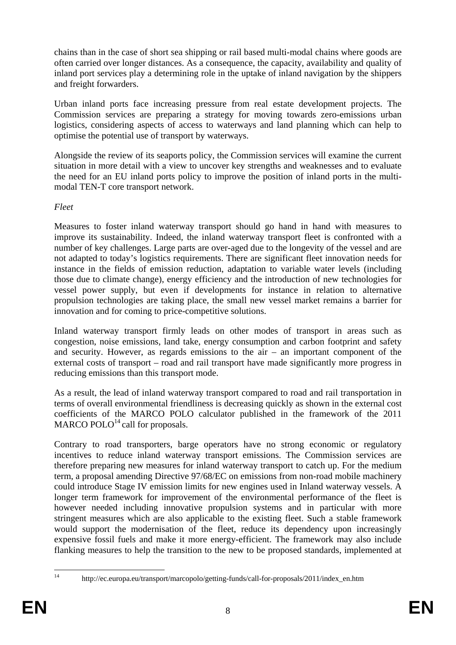chains than in the case of short sea shipping or rail based multi-modal chains where goods are often carried over longer distances. As a consequence, the capacity, availability and quality of inland port services play a determining role in the uptake of inland navigation by the shippers and freight forwarders.

Urban inland ports face increasing pressure from real estate development projects. The Commission services are preparing a strategy for moving towards zero-emissions urban logistics, considering aspects of access to waterways and land planning which can help to optimise the potential use of transport by waterways.

Alongside the review of its seaports policy, the Commission services will examine the current situation in more detail with a view to uncover key strengths and weaknesses and to evaluate the need for an EU inland ports policy to improve the position of inland ports in the multimodal TEN-T core transport network.

#### *Fleet*

Measures to foster inland waterway transport should go hand in hand with measures to improve its sustainability. Indeed, the inland waterway transport fleet is confronted with a number of key challenges. Large parts are over-aged due to the longevity of the vessel and are not adapted to today's logistics requirements. There are significant fleet innovation needs for instance in the fields of emission reduction, adaptation to variable water levels (including those due to climate change), energy efficiency and the introduction of new technologies for vessel power supply, but even if developments for instance in relation to alternative propulsion technologies are taking place, the small new vessel market remains a barrier for innovation and for coming to price-competitive solutions.

Inland waterway transport firmly leads on other modes of transport in areas such as congestion, noise emissions, land take, energy consumption and carbon footprint and safety and security. However, as regards emissions to the air – an important component of the external costs of transport – road and rail transport have made significantly more progress in reducing emissions than this transport mode.

As a result, the lead of inland waterway transport compared to road and rail transportation in terms of overall environmental friendliness is decreasing quickly as shown in the external cost coefficients of the MARCO POLO calculator published in the framework of the 2011 MARCO POLO $^{14}$  call for proposals.

Contrary to road transporters, barge operators have no strong economic or regulatory incentives to reduce inland waterway transport emissions. The Commission services are therefore preparing new measures for inland waterway transport to catch up. For the medium term, a proposal amending Directive 97/68/EC on emissions from non-road mobile machinery could introduce Stage IV emission limits for new engines used in Inland waterway vessels. A longer term framework for improvement of the environmental performance of the fleet is however needed including innovative propulsion systems and in particular with more stringent measures which are also applicable to the existing fleet. Such a stable framework would support the modernisation of the fleet, reduce its dependency upon increasingly expensive fossil fuels and make it more energy-efficient. The framework may also include flanking measures to help the transition to the new to be proposed standards, implemented at

 $14$ 

<sup>14</sup> http://ec.europa.eu/transport/marcopolo/getting-funds/call-for-proposals/2011/index\_en.htm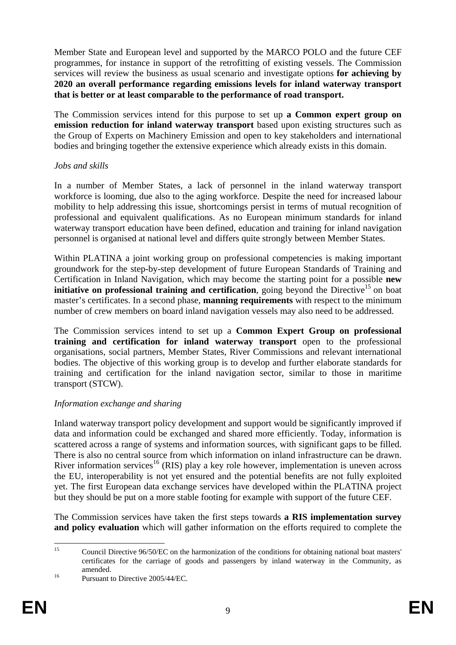Member State and European level and supported by the MARCO POLO and the future CEF programmes, for instance in support of the retrofitting of existing vessels. The Commission services will review the business as usual scenario and investigate options **for achieving by 2020 an overall performance regarding emissions levels for inland waterway transport that is better or at least comparable to the performance of road transport.**

The Commission services intend for this purpose to set up **a Common expert group on emission reduction for inland waterway transport** based upon existing structures such as the Group of Experts on Machinery Emission and open to key stakeholders and international bodies and bringing together the extensive experience which already exists in this domain.

#### *Jobs and skills*

In a number of Member States, a lack of personnel in the inland waterway transport workforce is looming, due also to the aging workforce. Despite the need for increased labour mobility to help addressing this issue, shortcomings persist in terms of mutual recognition of professional and equivalent qualifications. As no European minimum standards for inland waterway transport education have been defined, education and training for inland navigation personnel is organised at national level and differs quite strongly between Member States.

Within PLATINA a joint working group on professional competencies is making important groundwork for the step-by-step development of future European Standards of Training and Certification in Inland Navigation, which may become the starting point for a possible **new initiative on professional training and certification**, going beyond the Directive<sup>15</sup> on boat master's certificates. In a second phase, **manning requirements** with respect to the minimum number of crew members on board inland navigation vessels may also need to be addressed.

The Commission services intend to set up a **Common Expert Group on professional training and certification for inland waterway transport** open to the professional organisations, social partners, Member States, River Commissions and relevant international bodies. The objective of this working group is to develop and further elaborate standards for training and certification for the inland navigation sector, similar to those in maritime transport (STCW).

# *Information exchange and sharing*

Inland waterway transport policy development and support would be significantly improved if data and information could be exchanged and shared more efficiently. Today, information is scattered across a range of systems and information sources, with significant gaps to be filled. There is also no central source from which information on inland infrastructure can be drawn. River information services<sup>16</sup> (RIS) play a key role however, implementation is uneven across the EU, interoperability is not yet ensured and the potential benefits are not fully exploited yet. The first European data exchange services have developed within the PLATINA project but they should be put on a more stable footing for example with support of the future CEF.

The Commission services have taken the first steps towards **a RIS implementation survey and policy evaluation** which will gather information on the efforts required to complete the

 $15$ 15 Council Directive 96/50/EC on the harmonization of the conditions for obtaining national boat masters' certificates for the carriage of goods and passengers by inland waterway in the Community, as amended.<br><sup>16</sup> Pursuant to Directive 2005/44/EC.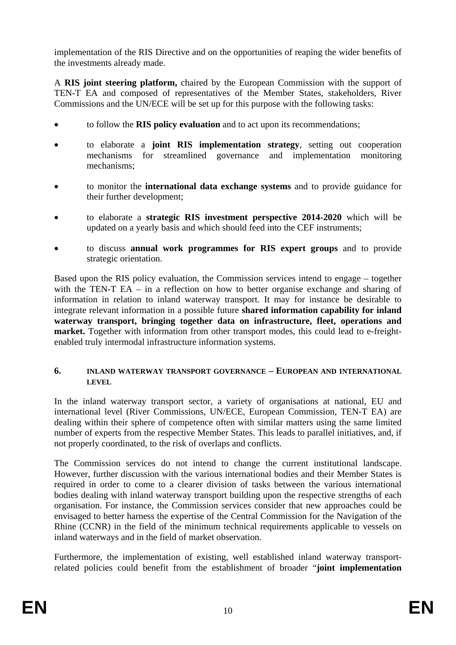implementation of the RIS Directive and on the opportunities of reaping the wider benefits of the investments already made.

A **RIS joint steering platform,** chaired by the European Commission with the support of TEN-T EA and composed of representatives of the Member States, stakeholders, River Commissions and the UN/ECE will be set up for this purpose with the following tasks:

- to follow the **RIS policy evaluation** and to act upon its recommendations;
- to elaborate a **joint RIS implementation strategy**, setting out cooperation mechanisms for streamlined governance and implementation monitoring mechanisms;
- to monitor the **international data exchange systems** and to provide guidance for their further development;
- to elaborate a **strategic RIS investment perspective 2014-2020** which will be updated on a yearly basis and which should feed into the CEF instruments;
- to discuss **annual work programmes for RIS expert groups** and to provide strategic orientation.

Based upon the RIS policy evaluation, the Commission services intend to engage – together with the TEN-T EA – in a reflection on how to better organise exchange and sharing of information in relation to inland waterway transport. It may for instance be desirable to integrate relevant information in a possible future **shared information capability for inland waterway transport, bringing together data on infrastructure, fleet, operations and market.** Together with information from other transport modes, this could lead to e-freightenabled truly intermodal infrastructure information systems.

#### <span id="page-9-0"></span>**6. INLAND WATERWAY TRANSPORT GOVERNANCE – EUROPEAN AND INTERNATIONAL LEVEL**

In the inland waterway transport sector, a variety of organisations at national, EU and international level (River Commissions, UN/ECE, European Commission, TEN-T EA) are dealing within their sphere of competence often with similar matters using the same limited number of experts from the respective Member States. This leads to parallel initiatives, and, if not properly coordinated, to the risk of overlaps and conflicts.

The Commission services do not intend to change the current institutional landscape. However, further discussion with the various international bodies and their Member States is required in order to come to a clearer division of tasks between the various international bodies dealing with inland waterway transport building upon the respective strengths of each organisation. For instance, the Commission services consider that new approaches could be envisaged to better harness the expertise of the Central Commission for the Navigation of the Rhine (CCNR) in the field of the minimum technical requirements applicable to vessels on inland waterways and in the field of market observation.

Furthermore, the implementation of existing, well established inland waterway transportrelated policies could benefit from the establishment of broader "**joint implementation**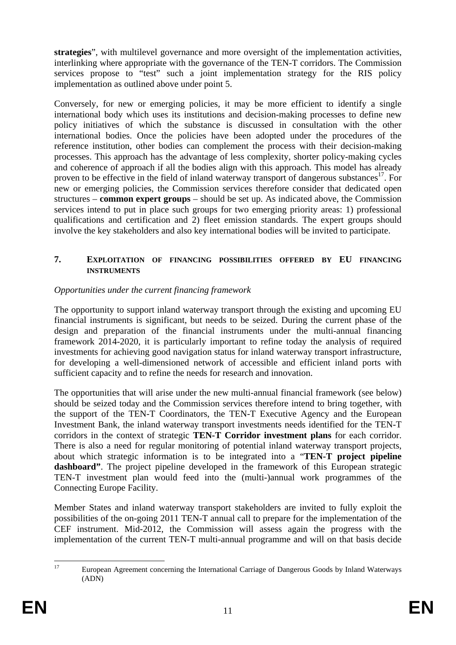**strategies**", with multilevel governance and more oversight of the implementation activities, interlinking where appropriate with the governance of the TEN-T corridors. The Commission services propose to "test" such a joint implementation strategy for the RIS policy implementation as outlined above under point 5.

Conversely, for new or emerging policies, it may be more efficient to identify a single international body which uses its institutions and decision-making processes to define new policy initiatives of which the substance is discussed in consultation with the other international bodies. Once the policies have been adopted under the procedures of the reference institution, other bodies can complement the process with their decision-making processes. This approach has the advantage of less complexity, shorter policy-making cycles and coherence of approach if all the bodies align with this approach. This model has already proven to be effective in the field of inland waterway transport of dangerous substances<sup>17</sup>. For new or emerging policies, the Commission services therefore consider that dedicated open structures – **common expert groups** – should be set up. As indicated above, the Commission services intend to put in place such groups for two emerging priority areas: 1) professional qualifications and certification and 2) fleet emission standards. The expert groups should involve the key stakeholders and also key international bodies will be invited to participate.

### <span id="page-10-0"></span>**7. EXPLOITATION OF FINANCING POSSIBILITIES OFFERED BY EU FINANCING INSTRUMENTS**

# *Opportunities under the current financing framework*

The opportunity to support inland waterway transport through the existing and upcoming EU financial instruments is significant, but needs to be seized. During the current phase of the design and preparation of the financial instruments under the multi-annual financing framework 2014-2020, it is particularly important to refine today the analysis of required investments for achieving good navigation status for inland waterway transport infrastructure, for developing a well-dimensioned network of accessible and efficient inland ports with sufficient capacity and to refine the needs for research and innovation.

The opportunities that will arise under the new multi-annual financial framework (see below) should be seized today and the Commission services therefore intend to bring together, with the support of the TEN-T Coordinators, the TEN-T Executive Agency and the European Investment Bank, the inland waterway transport investments needs identified for the TEN-T corridors in the context of strategic **TEN-T Corridor investment plans** for each corridor. There is also a need for regular monitoring of potential inland waterway transport projects, about which strategic information is to be integrated into a "**TEN-T project pipeline dashboard"**. The project pipeline developed in the framework of this European strategic TEN-T investment plan would feed into the (multi-)annual work programmes of the Connecting Europe Facility.

Member States and inland waterway transport stakeholders are invited to fully exploit the possibilities of the on-going 2011 TEN-T annual call to prepare for the implementation of the CEF instrument. Mid-2012, the Commission will assess again the progress with the implementation of the current TEN-T multi-annual programme and will on that basis decide

 $17$ 17 European Agreement concerning the International Carriage of Dangerous Goods by Inland Waterways (ADN)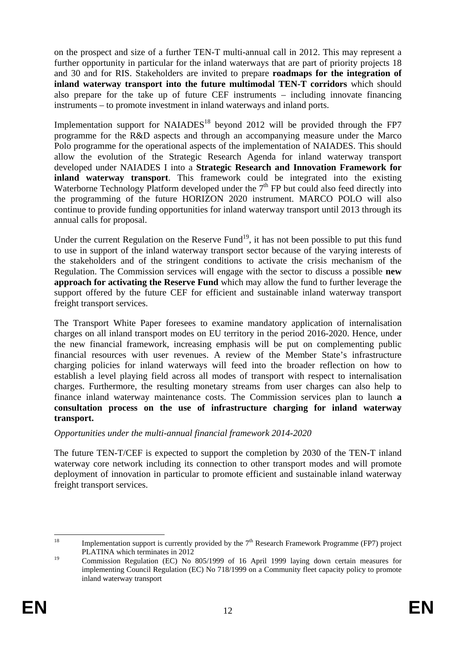on the prospect and size of a further TEN-T multi-annual call in 2012. This may represent a further opportunity in particular for the inland waterways that are part of priority projects 18 and 30 and for RIS. Stakeholders are invited to prepare **roadmaps for the integration of inland waterway transport into the future multimodal TEN-T corridors** which should also prepare for the take up of future CEF instruments – including innovate financing instruments – to promote investment in inland waterways and inland ports.

Implementation support for  $NAIADES<sup>18</sup>$  beyond 2012 will be provided through the FP7 programme for the R&D aspects and through an accompanying measure under the Marco Polo programme for the operational aspects of the implementation of NAIADES. This should allow the evolution of the Strategic Research Agenda for inland waterway transport developed under NAIADES I into a **Strategic Research and Innovation Framework for inland waterway transport**. This framework could be integrated into the existing Waterborne Technology Platform developed under the  $7<sup>th</sup>$  FP but could also feed directly into the programming of the future HORIZON 2020 instrument. MARCO POLO will also continue to provide funding opportunities for inland waterway transport until 2013 through its annual calls for proposal.

Under the current Regulation on the Reserve Fund<sup>19</sup>, it has not been possible to put this fund to use in support of the inland waterway transport sector because of the varying interests of the stakeholders and of the stringent conditions to activate the crisis mechanism of the Regulation. The Commission services will engage with the sector to discuss a possible **new approach for activating the Reserve Fund** which may allow the fund to further leverage the support offered by the future CEF for efficient and sustainable inland waterway transport freight transport services.

The Transport White Paper foresees to examine mandatory application of internalisation charges on all inland transport modes on EU territory in the period 2016-2020. Hence, under the new financial framework, increasing emphasis will be put on complementing public financial resources with user revenues. A review of the Member State's infrastructure charging policies for inland waterways will feed into the broader reflection on how to establish a level playing field across all modes of transport with respect to internalisation charges. Furthermore, the resulting monetary streams from user charges can also help to finance inland waterway maintenance costs. The Commission services plan to launch **a consultation process on the use of infrastructure charging for inland waterway transport.** 

# *Opportunities under the multi-annual financial framework 2014-2020*

The future TEN-T/CEF is expected to support the completion by 2030 of the TEN-T inland waterway core network including its connection to other transport modes and will promote deployment of innovation in particular to promote efficient and sustainable inland waterway freight transport services.

<sup>18</sup> Implementation support is currently provided by the  $7<sup>th</sup>$  Research Framework Programme (FP7) project PLATINA which terminates in 2012

<sup>19</sup> Commission Regulation (EC) No 805/1999 of 16 April 1999 laying down certain measures for implementing Council Regulation (EC) No 718/1999 on a Community fleet capacity policy to promote inland waterway transport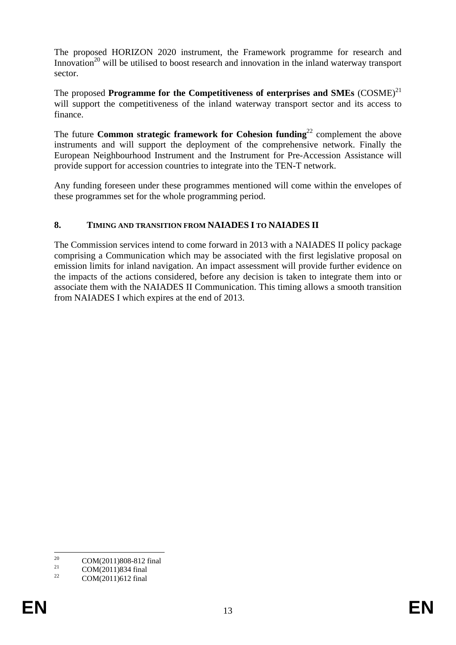The proposed HORIZON 2020 instrument, the Framework programme for research and Innovation<sup>20</sup> will be utilised to boost research and innovation in the inland waterway transport sector.

The proposed **Programme for the Competitiveness of enterprises and SMEs**  $(COSME)^{21}$ will support the competitiveness of the inland waterway transport sector and its access to finance.

The future **Common strategic framework for Cohesion funding**<sup>22</sup> complement the above instruments and will support the deployment of the comprehensive network. Finally the European Neighbourhood Instrument and the Instrument for Pre-Accession Assistance will provide support for accession countries to integrate into the TEN-T network.

Any funding foreseen under these programmes mentioned will come within the envelopes of these programmes set for the whole programming period.

# <span id="page-12-0"></span>**8. TIMING AND TRANSITION FROM NAIADES I TO NAIADES II**

The Commission services intend to come forward in 2013 with a NAIADES II policy package comprising a Communication which may be associated with the first legislative proposal on emission limits for inland navigation. An impact assessment will provide further evidence on the impacts of the actions considered, before any decision is taken to integrate them into or associate them with the NAIADES II Communication. This timing allows a smooth transition from NAIADES I which expires at the end of 2013.

 $20$ <sup>20</sup> COM(2011)808-812 final

<sup>&</sup>lt;sup>21</sup> COM(2011)834 final<br><sup>22</sup> COM(2011)612 final

<sup>22</sup> COM(2011)612 final